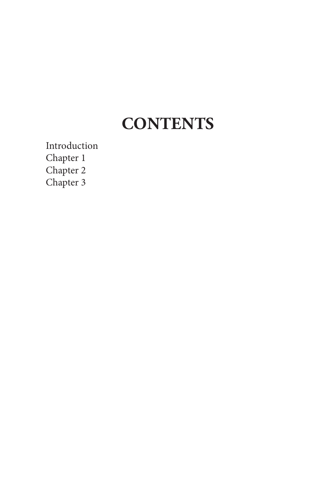# **CONTENTS**

Introduction Chapter 1 Chapter 2 Chapter 3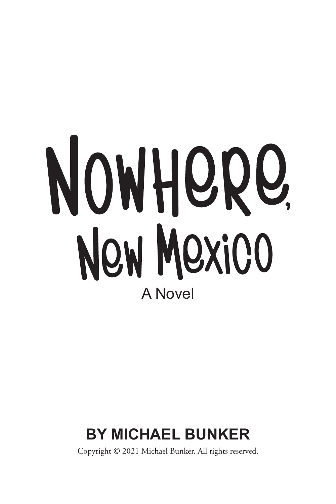# NOWHORO, New Mexico A Novel

# **BY MICHAEL BUNKER**

Copyright © 2021 Michael Bunker. All rights reserved.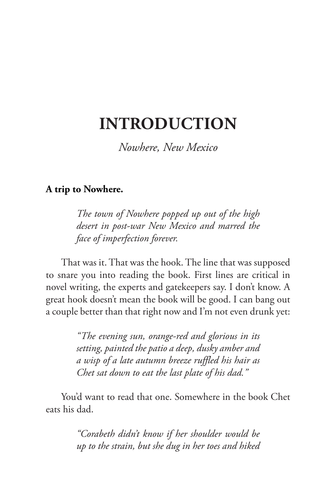## **INTRODUCTION**

*Nowhere, New Mexico*

#### **A trip to Nowhere.**

*The town of Nowhere popped up out of the high desert in post-war New Mexico and marred the face of imperfection forever.*

That was it. That was the hook. The line that was supposed to snare you into reading the book. First lines are critical in novel writing, the experts and gatekeepers say. I don't know. A great hook doesn't mean the book will be good. I can bang out a couple better than that right now and I'm not even drunk yet:

> *"The evening sun, orange-red and glorious in its setting, painted the patio a deep, dusky amber and a wisp of a late autumn breeze ruffled his hair as Chet sat down to eat the last plate of his dad."*

You'd want to read that one. Somewhere in the book Chet eats his dad.

> *"Corabeth didn't know if her shoulder would be up to the strain, but she dug in her toes and hiked*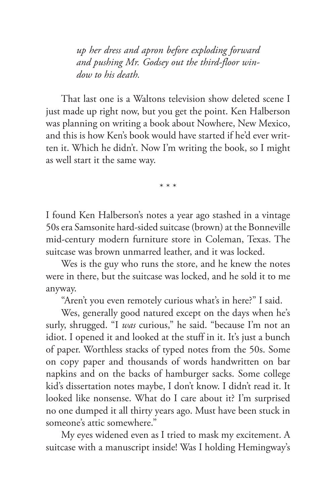*up her dress and apron before exploding forward and pushing Mr. Godsey out the third-floor window to his death.*

That last one is a Waltons television show deleted scene I just made up right now, but you get the point. Ken Halberson was planning on writing a book about Nowhere, New Mexico, and this is how Ken's book would have started if he'd ever written it. Which he didn't. Now I'm writing the book, so I might as well start it the same way.

\* \* \*

I found Ken Halberson's notes a year ago stashed in a vintage 50s era Samsonite hard-sided suitcase (brown) at the Bonneville mid-century modern furniture store in Coleman, Texas. The suitcase was brown unmarred leather, and it was locked.

Wes is the guy who runs the store, and he knew the notes were in there, but the suitcase was locked, and he sold it to me anyway.

"Aren't you even remotely curious what's in here?" I said.

Wes, generally good natured except on the days when he's surly, shrugged. "I *was* curious," he said. "because I'm not an idiot. I opened it and looked at the stuff in it. It's just a bunch of paper. Worthless stacks of typed notes from the 50s. Some on copy paper and thousands of words handwritten on bar napkins and on the backs of hamburger sacks. Some college kid's dissertation notes maybe, I don't know. I didn't read it. It looked like nonsense. What do I care about it? I'm surprised no one dumped it all thirty years ago. Must have been stuck in someone's attic somewhere."

My eyes widened even as I tried to mask my excitement. A suitcase with a manuscript inside! Was I holding Hemingway's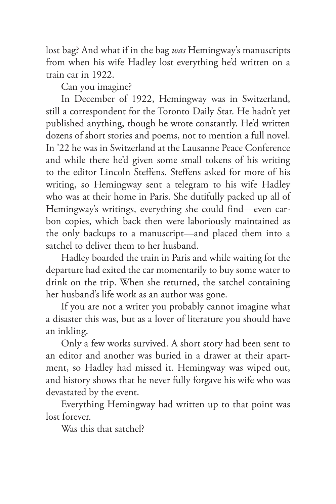lost bag? And what if in the bag *was* Hemingway's manuscripts from when his wife Hadley lost everything he'd written on a train car in 1922.

Can you imagine?

In December of 1922, Hemingway was in Switzerland, still a correspondent for the Toronto Daily Star. He hadn't yet published anything, though he wrote constantly. He'd written dozens of short stories and poems, not to mention a full novel. In '22 he was in Switzerland at the Lausanne Peace Conference and while there he'd given some small tokens of his writing to the editor Lincoln Steffens. Steffens asked for more of his writing, so Hemingway sent a telegram to his wife Hadley who was at their home in Paris. She dutifully packed up all of Hemingway's writings, everything she could find—even carbon copies, which back then were laboriously maintained as the only backups to a manuscript—and placed them into a satchel to deliver them to her husband.

Hadley boarded the train in Paris and while waiting for the departure had exited the car momentarily to buy some water to drink on the trip. When she returned, the satchel containing her husband's life work as an author was gone.

If you are not a writer you probably cannot imagine what a disaster this was, but as a lover of literature you should have an inkling.

Only a few works survived. A short story had been sent to an editor and another was buried in a drawer at their apartment, so Hadley had missed it. Hemingway was wiped out, and history shows that he never fully forgave his wife who was devastated by the event.

Everything Hemingway had written up to that point was lost forever.

Was this that satchel?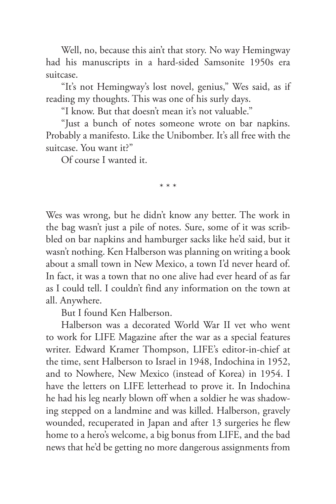Well, no, because this ain't that story. No way Hemingway had his manuscripts in a hard-sided Samsonite 1950s era suitcase.

"It's not Hemingway's lost novel, genius," Wes said, as if reading my thoughts. This was one of his surly days.

"I know. But that doesn't mean it's not valuable."

"Just a bunch of notes someone wrote on bar napkins. Probably a manifesto. Like the Unibomber. It's all free with the suitcase. You want it?"

\* \* \*

Of course I wanted it.

Wes was wrong, but he didn't know any better. The work in the bag wasn't just a pile of notes. Sure, some of it was scribbled on bar napkins and hamburger sacks like he'd said, but it wasn't nothing. Ken Halberson was planning on writing a book about a small town in New Mexico, a town I'd never heard of. In fact, it was a town that no one alive had ever heard of as far as I could tell. I couldn't find any information on the town at all. Anywhere.

But I found Ken Halberson.

Halberson was a decorated World War II vet who went to work for LIFE Magazine after the war as a special features writer. Edward Kramer Thompson, LIFE's editor-in-chief at the time, sent Halberson to Israel in 1948, Indochina in 1952, and to Nowhere, New Mexico (instead of Korea) in 1954. I have the letters on LIFE letterhead to prove it. In Indochina he had his leg nearly blown off when a soldier he was shadowing stepped on a landmine and was killed. Halberson, gravely wounded, recuperated in Japan and after 13 surgeries he flew home to a hero's welcome, a big bonus from LIFE, and the bad news that he'd be getting no more dangerous assignments from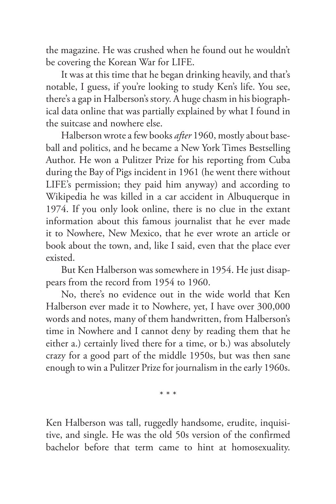the magazine. He was crushed when he found out he wouldn't be covering the Korean War for LIFE.

It was at this time that he began drinking heavily, and that's notable, I guess, if you're looking to study Ken's life. You see, there's a gap in Halberson's story. A huge chasm in his biographical data online that was partially explained by what I found in the suitcase and nowhere else.

Halberson wrote a few books *after* 1960, mostly about baseball and politics, and he became a New York Times Bestselling Author. He won a Pulitzer Prize for his reporting from Cuba during the Bay of Pigs incident in 1961 (he went there without LIFE's permission; they paid him anyway) and according to Wikipedia he was killed in a car accident in Albuquerque in 1974. If you only look online, there is no clue in the extant information about this famous journalist that he ever made it to Nowhere, New Mexico, that he ever wrote an article or book about the town, and, like I said, even that the place ever existed.

But Ken Halberson was somewhere in 1954. He just disappears from the record from 1954 to 1960.

No, there's no evidence out in the wide world that Ken Halberson ever made it to Nowhere, yet, I have over 300,000 words and notes, many of them handwritten, from Halberson's time in Nowhere and I cannot deny by reading them that he either a.) certainly lived there for a time, or b.) was absolutely crazy for a good part of the middle 1950s, but was then sane enough to win a Pulitzer Prize for journalism in the early 1960s.

\* \* \*

Ken Halberson was tall, ruggedly handsome, erudite, inquisitive, and single. He was the old 50s version of the confirmed bachelor before that term came to hint at homosexuality.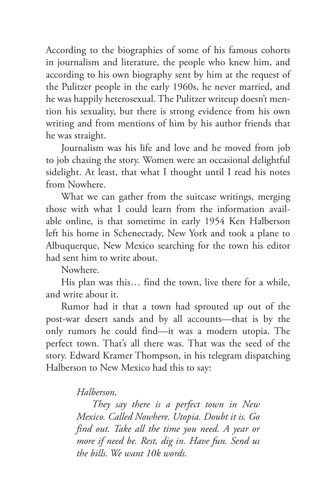According to the biographies of some of his famous cohorts in journalism and literature, the people who knew him, and according to his own biography sent by him at the request of the Pulitzer people in the early 1960s, he never married, and he was happily heterosexual. The Pulitzer writeup doesn't mention his sexuality, but there is strong evidence from his own writing and from mentions of him by his author friends that he was straight.

Journalism was his life and love and he moved from job to job chasing the story. Women were an occasional delightful sidelight. At least, that what I thought until I read his notes from Nowhere.

What we can gather from the suitcase writings, merging those with what I could learn from the information available online, is that sometime in early 1954 Ken Halberson left his home in Schenectady, New York and took a plane to Albuquerque, New Mexico searching for the town his editor had sent him to write about.

Nowhere.

His plan was this… find the town, live there for a while, and write about it.

Rumor had it that a town had sprouted up out of the post-war desert sands and by all accounts—that is by the only rumors he could find—it was a modern utopia. The perfect town. That's all there was. That was the seed of the story. Edward Kramer Thompson, in his telegram dispatching Halberson to New Mexico had this to say:

*Halberson,*

*They say there is a perfect town in New Mexico. Called Nowhere. Utopia. Doubt it is. Go find out. Take all the time you need. A year or more if need be. Rest, dig in. Have fun. Send us the bills. We want 10k words.*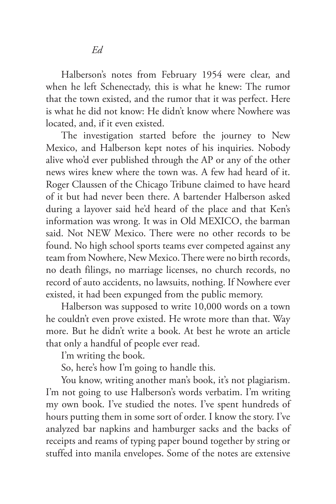Halberson's notes from February 1954 were clear, and when he left Schenectady, this is what he knew: The rumor that the town existed, and the rumor that it was perfect. Here is what he did not know: He didn't know where Nowhere was located, and, if it even existed.

The investigation started before the journey to New Mexico, and Halberson kept notes of his inquiries. Nobody alive who'd ever published through the AP or any of the other news wires knew where the town was. A few had heard of it. Roger Claussen of the Chicago Tribune claimed to have heard of it but had never been there. A bartender Halberson asked during a layover said he'd heard of the place and that Ken's information was wrong. It was in Old MEXICO, the barman said. Not NEW Mexico. There were no other records to be found. No high school sports teams ever competed against any team from Nowhere, New Mexico. There were no birth records, no death filings, no marriage licenses, no church records, no record of auto accidents, no lawsuits, nothing. If Nowhere ever existed, it had been expunged from the public memory.

Halberson was supposed to write 10,000 words on a town he couldn't even prove existed. He wrote more than that. Way more. But he didn't write a book. At best he wrote an article that only a handful of people ever read.

I'm writing the book.

So, here's how I'm going to handle this.

You know, writing another man's book, it's not plagiarism. I'm not going to use Halberson's words verbatim. I'm writing my own book. I've studied the notes. I've spent hundreds of hours putting them in some sort of order. I know the story. I've analyzed bar napkins and hamburger sacks and the backs of receipts and reams of typing paper bound together by string or stuffed into manila envelopes. Some of the notes are extensive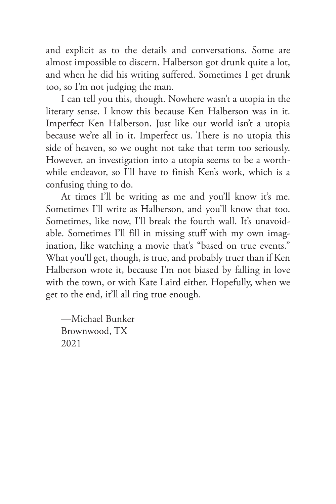and explicit as to the details and conversations. Some are almost impossible to discern. Halberson got drunk quite a lot, and when he did his writing suffered. Sometimes I get drunk too, so I'm not judging the man.

I can tell you this, though. Nowhere wasn't a utopia in the literary sense. I know this because Ken Halberson was in it. Imperfect Ken Halberson. Just like our world isn't a utopia because we're all in it. Imperfect us. There is no utopia this side of heaven, so we ought not take that term too seriously. However, an investigation into a utopia seems to be a worthwhile endeavor, so I'll have to finish Ken's work, which is a confusing thing to do.

At times I'll be writing as me and you'll know it's me. Sometimes I'll write as Halberson, and you'll know that too. Sometimes, like now, I'll break the fourth wall. It's unavoidable. Sometimes I'll fill in missing stuff with my own imagination, like watching a movie that's "based on true events." What you'll get, though, is true, and probably truer than if Ken Halberson wrote it, because I'm not biased by falling in love with the town, or with Kate Laird either. Hopefully, when we get to the end, it'll all ring true enough.

—Michael Bunker Brownwood, TX 2021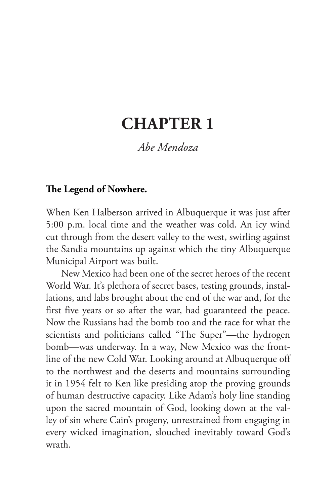## **CHAPTER 1**

#### *Abe Mendoza*

#### **The Legend of Nowhere.**

When Ken Halberson arrived in Albuquerque it was just after 5:00 p.m. local time and the weather was cold. An icy wind cut through from the desert valley to the west, swirling against the Sandia mountains up against which the tiny Albuquerque Municipal Airport was built.

New Mexico had been one of the secret heroes of the recent World War. It's plethora of secret bases, testing grounds, installations, and labs brought about the end of the war and, for the first five years or so after the war, had guaranteed the peace. Now the Russians had the bomb too and the race for what the scientists and politicians called "The Super"—the hydrogen bomb—was underway. In a way, New Mexico was the frontline of the new Cold War. Looking around at Albuquerque off to the northwest and the deserts and mountains surrounding it in 1954 felt to Ken like presiding atop the proving grounds of human destructive capacity. Like Adam's holy line standing upon the sacred mountain of God, looking down at the valley of sin where Cain's progeny, unrestrained from engaging in every wicked imagination, slouched inevitably toward God's wrath.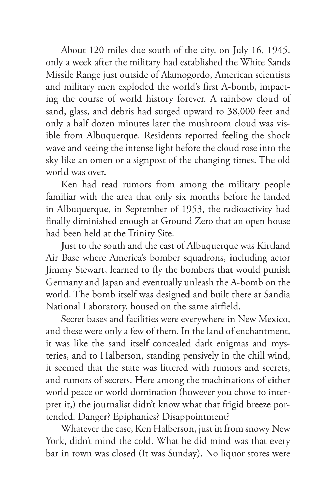About 120 miles due south of the city, on July 16, 1945, only a week after the military had established the White Sands Missile Range just outside of Alamogordo, American scientists and military men exploded the world's first A-bomb, impacting the course of world history forever. A rainbow cloud of sand, glass, and debris had surged upward to 38,000 feet and only a half dozen minutes later the mushroom cloud was visible from Albuquerque. Residents reported feeling the shock wave and seeing the intense light before the cloud rose into the sky like an omen or a signpost of the changing times. The old world was over.

Ken had read rumors from among the military people familiar with the area that only six months before he landed in Albuquerque, in September of 1953, the radioactivity had finally diminished enough at Ground Zero that an open house had been held at the Trinity Site.

Just to the south and the east of Albuquerque was Kirtland Air Base where America's bomber squadrons, including actor Jimmy Stewart, learned to fly the bombers that would punish Germany and Japan and eventually unleash the A-bomb on the world. The bomb itself was designed and built there at Sandia National Laboratory, housed on the same airfield.

Secret bases and facilities were everywhere in New Mexico, and these were only a few of them. In the land of enchantment, it was like the sand itself concealed dark enigmas and mysteries, and to Halberson, standing pensively in the chill wind, it seemed that the state was littered with rumors and secrets, and rumors of secrets. Here among the machinations of either world peace or world domination (however you chose to interpret it,) the journalist didn't know what that frigid breeze portended. Danger? Epiphanies? Disappointment?

Whatever the case, Ken Halberson, just in from snowy New York, didn't mind the cold. What he did mind was that every bar in town was closed (It was Sunday). No liquor stores were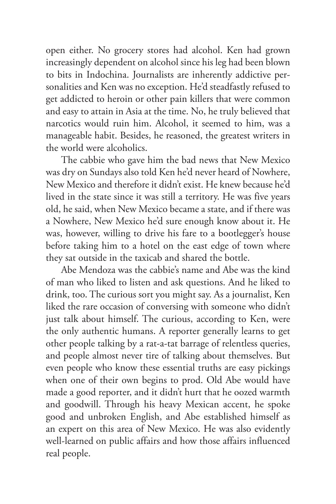open either. No grocery stores had alcohol. Ken had grown increasingly dependent on alcohol since his leg had been blown to bits in Indochina. Journalists are inherently addictive personalities and Ken was no exception. He'd steadfastly refused to get addicted to heroin or other pain killers that were common and easy to attain in Asia at the time. No, he truly believed that narcotics would ruin him. Alcohol, it seemed to him, was a manageable habit. Besides, he reasoned, the greatest writers in the world were alcoholics.

The cabbie who gave him the bad news that New Mexico was dry on Sundays also told Ken he'd never heard of Nowhere, New Mexico and therefore it didn't exist. He knew because he'd lived in the state since it was still a territory. He was five years old, he said, when New Mexico became a state, and if there was a Nowhere, New Mexico he'd sure enough know about it. He was, however, willing to drive his fare to a bootlegger's house before taking him to a hotel on the east edge of town where they sat outside in the taxicab and shared the bottle.

Abe Mendoza was the cabbie's name and Abe was the kind of man who liked to listen and ask questions. And he liked to drink, too. The curious sort you might say. As a journalist, Ken liked the rare occasion of conversing with someone who didn't just talk about himself. The curious, according to Ken, were the only authentic humans. A reporter generally learns to get other people talking by a rat-a-tat barrage of relentless queries, and people almost never tire of talking about themselves. But even people who know these essential truths are easy pickings when one of their own begins to prod. Old Abe would have made a good reporter, and it didn't hurt that he oozed warmth and goodwill. Through his heavy Mexican accent, he spoke good and unbroken English, and Abe established himself as an expert on this area of New Mexico. He was also evidently well-learned on public affairs and how those affairs influenced real people.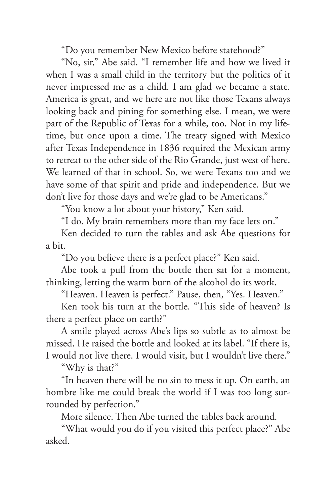"Do you remember New Mexico before statehood?"

"No, sir," Abe said. "I remember life and how we lived it when I was a small child in the territory but the politics of it never impressed me as a child. I am glad we became a state. America is great, and we here are not like those Texans always looking back and pining for something else. I mean, we were part of the Republic of Texas for a while, too. Not in my lifetime, but once upon a time. The treaty signed with Mexico after Texas Independence in 1836 required the Mexican army to retreat to the other side of the Rio Grande, just west of here. We learned of that in school. So, we were Texans too and we have some of that spirit and pride and independence. But we don't live for those days and we're glad to be Americans."

"You know a lot about your history," Ken said.

"I do. My brain remembers more than my face lets on."

Ken decided to turn the tables and ask Abe questions for a bit.

"Do you believe there is a perfect place?" Ken said.

Abe took a pull from the bottle then sat for a moment, thinking, letting the warm burn of the alcohol do its work.

"Heaven. Heaven is perfect." Pause, then, "Yes. Heaven."

Ken took his turn at the bottle. "This side of heaven? Is there a perfect place on earth?"

A smile played across Abe's lips so subtle as to almost be missed. He raised the bottle and looked at its label. "If there is, I would not live there. I would visit, but I wouldn't live there."

"Why is that?"

"In heaven there will be no sin to mess it up. On earth, an hombre like me could break the world if I was too long surrounded by perfection."

More silence. Then Abe turned the tables back around.

"What would you do if you visited this perfect place?" Abe asked.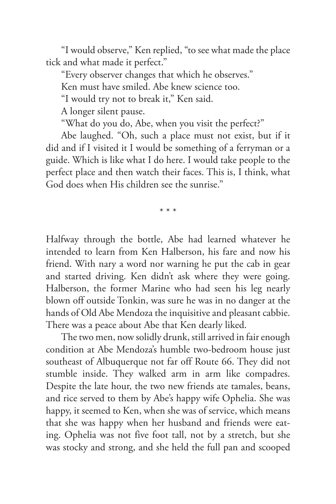"I would observe," Ken replied, "to see what made the place tick and what made it perfect."

"Every observer changes that which he observes."

Ken must have smiled. Abe knew science too.

"I would try not to break it," Ken said.

A longer silent pause.

"What do you do, Abe, when you visit the perfect?"

Abe laughed. "Oh, such a place must not exist, but if it did and if I visited it I would be something of a ferryman or a guide. Which is like what I do here. I would take people to the perfect place and then watch their faces. This is, I think, what God does when His children see the sunrise."

\* \* \*

Halfway through the bottle, Abe had learned whatever he intended to learn from Ken Halberson, his fare and now his friend. With nary a word nor warning he put the cab in gear and started driving. Ken didn't ask where they were going. Halberson, the former Marine who had seen his leg nearly blown off outside Tonkin, was sure he was in no danger at the hands of Old Abe Mendoza the inquisitive and pleasant cabbie. There was a peace about Abe that Ken dearly liked.

The two men, now solidly drunk, still arrived in fair enough condition at Abe Mendoza's humble two-bedroom house just southeast of Albuquerque not far off Route 66. They did not stumble inside. They walked arm in arm like compadres. Despite the late hour, the two new friends ate tamales, beans, and rice served to them by Abe's happy wife Ophelia. She was happy, it seemed to Ken, when she was of service, which means that she was happy when her husband and friends were eating. Ophelia was not five foot tall, not by a stretch, but she was stocky and strong, and she held the full pan and scooped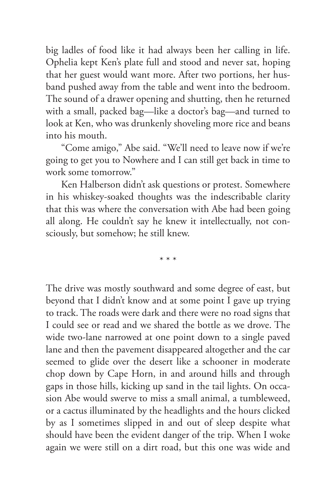big ladles of food like it had always been her calling in life. Ophelia kept Ken's plate full and stood and never sat, hoping that her guest would want more. After two portions, her husband pushed away from the table and went into the bedroom. The sound of a drawer opening and shutting, then he returned with a small, packed bag—like a doctor's bag—and turned to look at Ken, who was drunkenly shoveling more rice and beans into his mouth.

"Come amigo," Abe said. "We'll need to leave now if we're going to get you to Nowhere and I can still get back in time to work some tomorrow."

Ken Halberson didn't ask questions or protest. Somewhere in his whiskey-soaked thoughts was the indescribable clarity that this was where the conversation with Abe had been going all along. He couldn't say he knew it intellectually, not consciously, but somehow; he still knew.

\* \* \*

The drive was mostly southward and some degree of east, but beyond that I didn't know and at some point I gave up trying to track. The roads were dark and there were no road signs that I could see or read and we shared the bottle as we drove. The wide two-lane narrowed at one point down to a single paved lane and then the pavement disappeared altogether and the car seemed to glide over the desert like a schooner in moderate chop down by Cape Horn, in and around hills and through gaps in those hills, kicking up sand in the tail lights. On occasion Abe would swerve to miss a small animal, a tumbleweed, or a cactus illuminated by the headlights and the hours clicked by as I sometimes slipped in and out of sleep despite what should have been the evident danger of the trip. When I woke again we were still on a dirt road, but this one was wide and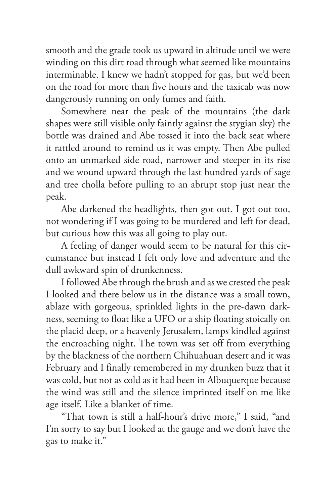smooth and the grade took us upward in altitude until we were winding on this dirt road through what seemed like mountains interminable. I knew we hadn't stopped for gas, but we'd been on the road for more than five hours and the taxicab was now dangerously running on only fumes and faith.

Somewhere near the peak of the mountains (the dark shapes were still visible only faintly against the stygian sky) the bottle was drained and Abe tossed it into the back seat where it rattled around to remind us it was empty. Then Abe pulled onto an unmarked side road, narrower and steeper in its rise and we wound upward through the last hundred yards of sage and tree cholla before pulling to an abrupt stop just near the peak.

Abe darkened the headlights, then got out. I got out too, not wondering if I was going to be murdered and left for dead, but curious how this was all going to play out.

A feeling of danger would seem to be natural for this circumstance but instead I felt only love and adventure and the dull awkward spin of drunkenness.

I followed Abe through the brush and as we crested the peak I looked and there below us in the distance was a small town, ablaze with gorgeous, sprinkled lights in the pre-dawn darkness, seeming to float like a UFO or a ship floating stoically on the placid deep, or a heavenly Jerusalem, lamps kindled against the encroaching night. The town was set off from everything by the blackness of the northern Chihuahuan desert and it was February and I finally remembered in my drunken buzz that it was cold, but not as cold as it had been in Albuquerque because the wind was still and the silence imprinted itself on me like age itself. Like a blanket of time.

"That town is still a half-hour's drive more," I said, "and I'm sorry to say but I looked at the gauge and we don't have the gas to make it."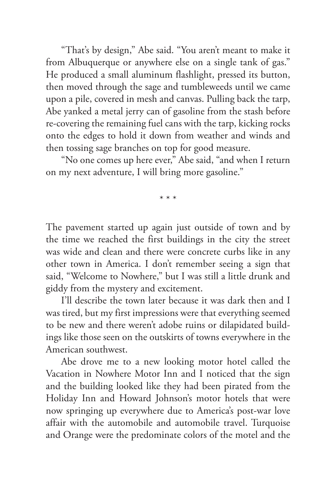"That's by design," Abe said. "You aren't meant to make it from Albuquerque or anywhere else on a single tank of gas." He produced a small aluminum flashlight, pressed its button, then moved through the sage and tumbleweeds until we came upon a pile, covered in mesh and canvas. Pulling back the tarp, Abe yanked a metal jerry can of gasoline from the stash before re-covering the remaining fuel cans with the tarp, kicking rocks onto the edges to hold it down from weather and winds and then tossing sage branches on top for good measure.

"No one comes up here ever," Abe said, "and when I return on my next adventure, I will bring more gasoline."

\* \* \*

The pavement started up again just outside of town and by the time we reached the first buildings in the city the street was wide and clean and there were concrete curbs like in any other town in America. I don't remember seeing a sign that said, "Welcome to Nowhere," but I was still a little drunk and giddy from the mystery and excitement.

I'll describe the town later because it was dark then and I was tired, but my first impressions were that everything seemed to be new and there weren't adobe ruins or dilapidated buildings like those seen on the outskirts of towns everywhere in the American southwest.

Abe drove me to a new looking motor hotel called the Vacation in Nowhere Motor Inn and I noticed that the sign and the building looked like they had been pirated from the Holiday Inn and Howard Johnson's motor hotels that were now springing up everywhere due to America's post-war love affair with the automobile and automobile travel. Turquoise and Orange were the predominate colors of the motel and the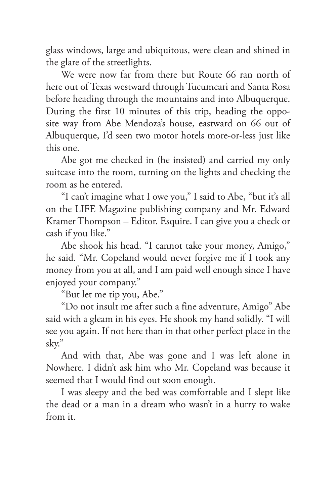glass windows, large and ubiquitous, were clean and shined in the glare of the streetlights.

We were now far from there but Route 66 ran north of here out of Texas westward through Tucumcari and Santa Rosa before heading through the mountains and into Albuquerque. During the first 10 minutes of this trip, heading the opposite way from Abe Mendoza's house, eastward on 66 out of Albuquerque, I'd seen two motor hotels more-or-less just like this one.

Abe got me checked in (he insisted) and carried my only suitcase into the room, turning on the lights and checking the room as he entered.

"I can't imagine what I owe you," I said to Abe, "but it's all on the LIFE Magazine publishing company and Mr. Edward Kramer Thompson – Editor. Esquire. I can give you a check or cash if you like."

Abe shook his head. "I cannot take your money, Amigo," he said. "Mr. Copeland would never forgive me if I took any money from you at all, and I am paid well enough since I have enjoyed your company."

"But let me tip you, Abe."

"Do not insult me after such a fine adventure, Amigo" Abe said with a gleam in his eyes. He shook my hand solidly. "I will see you again. If not here than in that other perfect place in the sky."

And with that, Abe was gone and I was left alone in Nowhere. I didn't ask him who Mr. Copeland was because it seemed that I would find out soon enough.

I was sleepy and the bed was comfortable and I slept like the dead or a man in a dream who wasn't in a hurry to wake from it.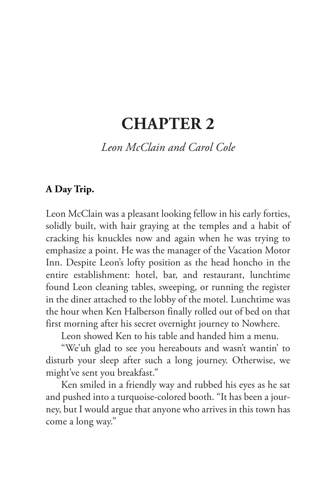### **CHAPTER 2**

#### *Leon McClain and Carol Cole*

#### **A Day Trip.**

Leon McClain was a pleasant looking fellow in his early forties, solidly built, with hair graying at the temples and a habit of cracking his knuckles now and again when he was trying to emphasize a point. He was the manager of the Vacation Motor Inn. Despite Leon's lofty position as the head honcho in the entire establishment: hotel, bar, and restaurant, lunchtime found Leon cleaning tables, sweeping, or running the register in the diner attached to the lobby of the motel. Lunchtime was the hour when Ken Halberson finally rolled out of bed on that first morning after his secret overnight journey to Nowhere.

Leon showed Ken to his table and handed him a menu.

"We'uh glad to see you hereabouts and wasn't wantin' to disturb your sleep after such a long journey. Otherwise, we might've sent you breakfast."

Ken smiled in a friendly way and rubbed his eyes as he sat and pushed into a turquoise-colored booth. "It has been a journey, but I would argue that anyone who arrives in this town has come a long way."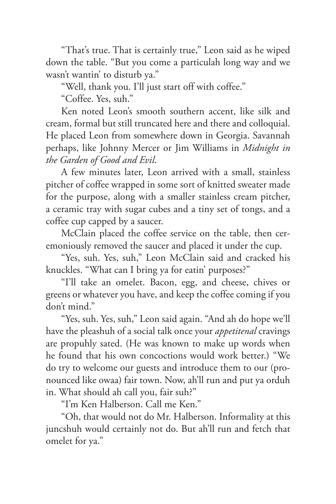"That's true. That is certainly true," Leon said as he wiped down the table. "But you come a particulah long way and we wasn't wantin' to disturb ya."

"Well, thank you. I'll just start off with coffee."

"Coffee. Yes, suh."

Ken noted Leon's smooth southern accent, like silk and cream, formal but still truncated here and there and colloquial. He placed Leon from somewhere down in Georgia. Savannah perhaps, like Johnny Mercer or Jim Williams in *Midnight in the Garden of Good and Evil*.

A few minutes later, Leon arrived with a small, stainless pitcher of coffee wrapped in some sort of knitted sweater made for the purpose, along with a smaller stainless cream pitcher, a ceramic tray with sugar cubes and a tiny set of tongs, and a coffee cup capped by a saucer.

McClain placed the coffee service on the table, then ceremoniously removed the saucer and placed it under the cup.

"Yes, suh. Yes, suh," Leon McClain said and cracked his knuckles. "What can I bring ya for eatin' purposes?"

"I'll take an omelet. Bacon, egg, and cheese, chives or greens or whatever you have, and keep the coffee coming if you don't mind."

"Yes, suh. Yes, suh," Leon said again. "And ah do hope we'll have the pleashuh of a social talk once your *appetitenal* cravings are propuhly sated. (He was known to make up words when he found that his own concoctions would work better.) "We do try to welcome our guests and introduce them to our (pronounced like owaa) fair town. Now, ah'll run and put ya orduh in. What should ah call you, fair suh?"

"I'm Ken Halberson. Call me Ken."

"Oh, that would not do Mr. Halberson. Informality at this juncshuh would certainly not do. But ah'll run and fetch that omelet for ya."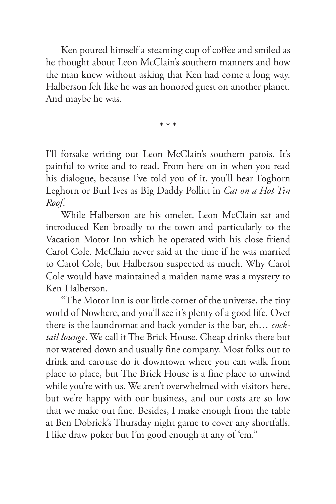Ken poured himself a steaming cup of coffee and smiled as he thought about Leon McClain's southern manners and how the man knew without asking that Ken had come a long way. Halberson felt like he was an honored guest on another planet. And maybe he was.

\* \* \*

I'll forsake writing out Leon McClain's southern patois. It's painful to write and to read. From here on in when you read his dialogue, because I've told you of it, you'll hear Foghorn Leghorn or Burl Ives as Big Daddy Pollitt in *Cat on a Hot Tin Roof*.

While Halberson ate his omelet, Leon McClain sat and introduced Ken broadly to the town and particularly to the Vacation Motor Inn which he operated with his close friend Carol Cole. McClain never said at the time if he was married to Carol Cole, but Halberson suspected as much. Why Carol Cole would have maintained a maiden name was a mystery to Ken Halberson.

"The Motor Inn is our little corner of the universe, the tiny world of Nowhere, and you'll see it's plenty of a good life. Over there is the laundromat and back yonder is the bar, eh… *cocktail lounge*. We call it The Brick House. Cheap drinks there but not watered down and usually fine company. Most folks out to drink and carouse do it downtown where you can walk from place to place, but The Brick House is a fine place to unwind while you're with us. We aren't overwhelmed with visitors here, but we're happy with our business, and our costs are so low that we make out fine. Besides, I make enough from the table at Ben Dobrick's Thursday night game to cover any shortfalls. I like draw poker but I'm good enough at any of 'em."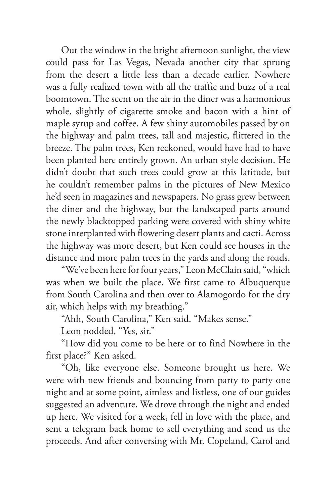Out the window in the bright afternoon sunlight, the view could pass for Las Vegas, Nevada another city that sprung from the desert a little less than a decade earlier. Nowhere was a fully realized town with all the traffic and buzz of a real boomtown. The scent on the air in the diner was a harmonious whole, slightly of cigarette smoke and bacon with a hint of maple syrup and coffee. A few shiny automobiles passed by on the highway and palm trees, tall and majestic, flittered in the breeze. The palm trees, Ken reckoned, would have had to have been planted here entirely grown. An urban style decision. He didn't doubt that such trees could grow at this latitude, but he couldn't remember palms in the pictures of New Mexico he'd seen in magazines and newspapers. No grass grew between the diner and the highway, but the landscaped parts around the newly blacktopped parking were covered with shiny white stone interplanted with flowering desert plants and cacti. Across the highway was more desert, but Ken could see houses in the distance and more palm trees in the yards and along the roads.

"We've been here for four years," Leon McClain said, "which was when we built the place. We first came to Albuquerque from South Carolina and then over to Alamogordo for the dry air, which helps with my breathing."

"Ahh, South Carolina," Ken said. "Makes sense."

Leon nodded, "Yes, sir."

"How did you come to be here or to find Nowhere in the first place?" Ken asked.

"Oh, like everyone else. Someone brought us here. We were with new friends and bouncing from party to party one night and at some point, aimless and listless, one of our guides suggested an adventure. We drove through the night and ended up here. We visited for a week, fell in love with the place, and sent a telegram back home to sell everything and send us the proceeds. And after conversing with Mr. Copeland, Carol and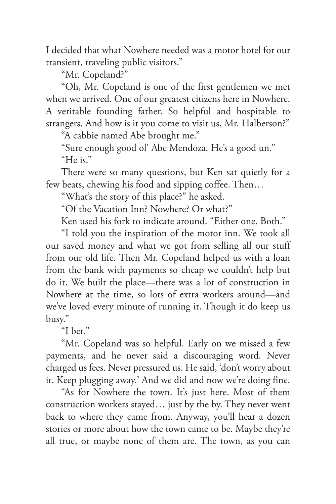I decided that what Nowhere needed was a motor hotel for our transient, traveling public visitors."

"Mr. Copeland?"

"Oh, Mr. Copeland is one of the first gentlemen we met when we arrived. One of our greatest citizens here in Nowhere. A veritable founding father. So helpful and hospitable to strangers. And how is it you come to visit us, Mr. Halberson?"

"A cabbie named Abe brought me."

"Sure enough good ol' Abe Mendoza. He's a good un." "He is."

There were so many questions, but Ken sat quietly for a few beats, chewing his food and sipping coffee. Then…

"What's the story of this place?" he asked.

"Of the Vacation Inn? Nowhere? Or what?"

Ken used his fork to indicate around. "Either one. Both."

"I told you the inspiration of the motor inn. We took all our saved money and what we got from selling all our stuff from our old life. Then Mr. Copeland helped us with a loan from the bank with payments so cheap we couldn't help but do it. We built the place—there was a lot of construction in Nowhere at the time, so lots of extra workers around—and we've loved every minute of running it. Though it do keep us busy."

"I bet."

"Mr. Copeland was so helpful. Early on we missed a few payments, and he never said a discouraging word. Never charged us fees. Never pressured us. He said, 'don't worry about it. Keep plugging away.' And we did and now we're doing fine.

"As for Nowhere the town. It's just here. Most of them construction workers stayed… just by the by. They never went back to where they came from. Anyway, you'll hear a dozen stories or more about how the town came to be. Maybe they're all true, or maybe none of them are. The town, as you can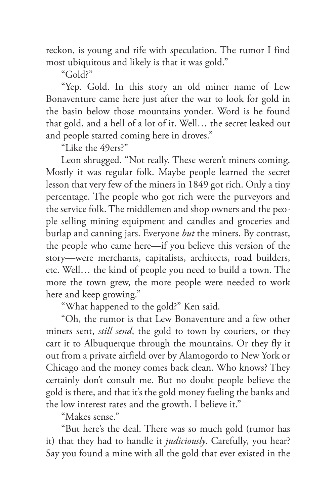reckon, is young and rife with speculation. The rumor I find most ubiquitous and likely is that it was gold."

"Gold?"

"Yep. Gold. In this story an old miner name of Lew Bonaventure came here just after the war to look for gold in the basin below those mountains yonder. Word is he found that gold, and a hell of a lot of it. Well… the secret leaked out and people started coming here in droves."

"Like the 49ers?"

Leon shrugged. "Not really. These weren't miners coming. Mostly it was regular folk. Maybe people learned the secret lesson that very few of the miners in 1849 got rich. Only a tiny percentage. The people who got rich were the purveyors and the service folk. The middlemen and shop owners and the people selling mining equipment and candles and groceries and burlap and canning jars. Everyone *but* the miners. By contrast, the people who came here—if you believe this version of the story—were merchants, capitalists, architects, road builders, etc. Well… the kind of people you need to build a town. The more the town grew, the more people were needed to work here and keep growing."

"What happened to the gold?" Ken said.

"Oh, the rumor is that Lew Bonaventure and a few other miners sent, *still send*, the gold to town by couriers, or they cart it to Albuquerque through the mountains. Or they fly it out from a private airfield over by Alamogordo to New York or Chicago and the money comes back clean. Who knows? They certainly don't consult me. But no doubt people believe the gold is there, and that it's the gold money fueling the banks and the low interest rates and the growth. I believe it."

"Makes sense."

"But here's the deal. There was so much gold (rumor has it) that they had to handle it *judiciously*. Carefully, you hear? Say you found a mine with all the gold that ever existed in the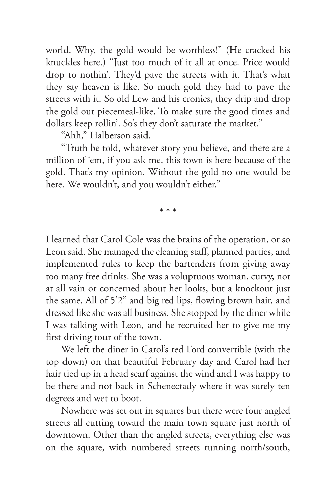world. Why, the gold would be worthless!" (He cracked his knuckles here.) "Just too much of it all at once. Price would drop to nothin'. They'd pave the streets with it. That's what they say heaven is like. So much gold they had to pave the streets with it. So old Lew and his cronies, they drip and drop the gold out piecemeal-like. To make sure the good times and dollars keep rollin'. So's they don't saturate the market."

"Ahh," Halberson said.

"Truth be told, whatever story you believe, and there are a million of 'em, if you ask me, this town is here because of the gold. That's my opinion. Without the gold no one would be here. We wouldn't, and you wouldn't either."

\* \* \*

I learned that Carol Cole was the brains of the operation, or so Leon said. She managed the cleaning staff, planned parties, and implemented rules to keep the bartenders from giving away too many free drinks. She was a voluptuous woman, curvy, not at all vain or concerned about her looks, but a knockout just the same. All of 5'2" and big red lips, flowing brown hair, and dressed like she was all business. She stopped by the diner while I was talking with Leon, and he recruited her to give me my first driving tour of the town.

We left the diner in Carol's red Ford convertible (with the top down) on that beautiful February day and Carol had her hair tied up in a head scarf against the wind and I was happy to be there and not back in Schenectady where it was surely ten degrees and wet to boot.

Nowhere was set out in squares but there were four angled streets all cutting toward the main town square just north of downtown. Other than the angled streets, everything else was on the square, with numbered streets running north/south,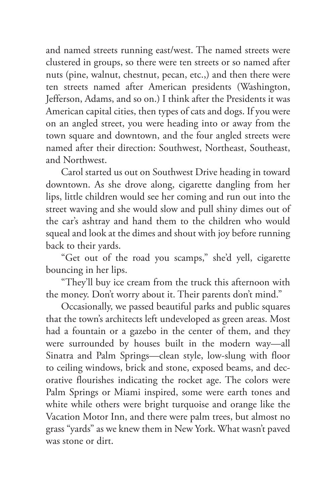and named streets running east/west. The named streets were clustered in groups, so there were ten streets or so named after nuts (pine, walnut, chestnut, pecan, etc.,) and then there were ten streets named after American presidents (Washington, Jefferson, Adams, and so on.) I think after the Presidents it was American capital cities, then types of cats and dogs. If you were on an angled street, you were heading into or away from the town square and downtown, and the four angled streets were named after their direction: Southwest, Northeast, Southeast, and Northwest.

Carol started us out on Southwest Drive heading in toward downtown. As she drove along, cigarette dangling from her lips, little children would see her coming and run out into the street waving and she would slow and pull shiny dimes out of the car's ashtray and hand them to the children who would squeal and look at the dimes and shout with joy before running back to their yards.

"Get out of the road you scamps," she'd yell, cigarette bouncing in her lips.

"They'll buy ice cream from the truck this afternoon with the money. Don't worry about it. Their parents don't mind."

Occasionally, we passed beautiful parks and public squares that the town's architects left undeveloped as green areas. Most had a fountain or a gazebo in the center of them, and they were surrounded by houses built in the modern way—all Sinatra and Palm Springs—clean style, low-slung with floor to ceiling windows, brick and stone, exposed beams, and decorative flourishes indicating the rocket age. The colors were Palm Springs or Miami inspired, some were earth tones and white while others were bright turquoise and orange like the Vacation Motor Inn, and there were palm trees, but almost no grass "yards" as we knew them in New York. What wasn't paved was stone or dirt.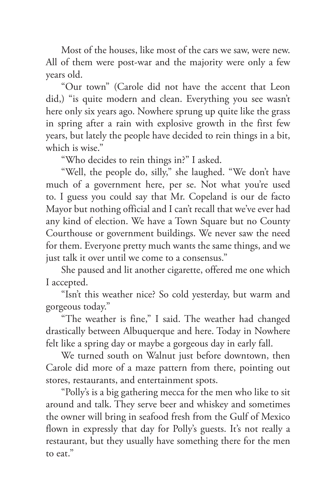Most of the houses, like most of the cars we saw, were new. All of them were post-war and the majority were only a few years old.

"Our town" (Carole did not have the accent that Leon did,) "is quite modern and clean. Everything you see wasn't here only six years ago. Nowhere sprung up quite like the grass in spring after a rain with explosive growth in the first few years, but lately the people have decided to rein things in a bit, which is wise."

"Who decides to rein things in?" I asked.

"Well, the people do, silly," she laughed. "We don't have much of a government here, per se. Not what you're used to. I guess you could say that Mr. Copeland is our de facto Mayor but nothing official and I can't recall that we've ever had any kind of election. We have a Town Square but no County Courthouse or government buildings. We never saw the need for them. Everyone pretty much wants the same things, and we just talk it over until we come to a consensus."

She paused and lit another cigarette, offered me one which I accepted.

"Isn't this weather nice? So cold yesterday, but warm and gorgeous today."

"The weather is fine," I said. The weather had changed drastically between Albuquerque and here. Today in Nowhere felt like a spring day or maybe a gorgeous day in early fall.

We turned south on Walnut just before downtown, then Carole did more of a maze pattern from there, pointing out stores, restaurants, and entertainment spots.

"Polly's is a big gathering mecca for the men who like to sit around and talk. They serve beer and whiskey and sometimes the owner will bring in seafood fresh from the Gulf of Mexico flown in expressly that day for Polly's guests. It's not really a restaurant, but they usually have something there for the men to eat."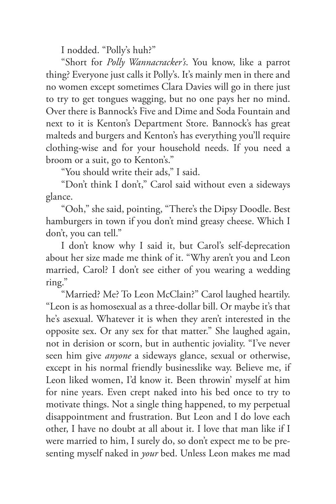I nodded. "Polly's huh?"

"Short for *Polly Wannacracker's*. You know, like a parrot thing? Everyone just calls it Polly's. It's mainly men in there and no women except sometimes Clara Davies will go in there just to try to get tongues wagging, but no one pays her no mind. Over there is Bannock's Five and Dime and Soda Fountain and next to it is Kenton's Department Store. Bannock's has great malteds and burgers and Kenton's has everything you'll require clothing-wise and for your household needs. If you need a broom or a suit, go to Kenton's."

"You should write their ads," I said.

"Don't think I don't," Carol said without even a sideways glance.

"Ooh," she said, pointing, "There's the Dipsy Doodle. Best hamburgers in town if you don't mind greasy cheese. Which I don't, you can tell."

I don't know why I said it, but Carol's self-deprecation about her size made me think of it. "Why aren't you and Leon married, Carol? I don't see either of you wearing a wedding ring."

"Married? Me? To Leon McClain?" Carol laughed heartily. "Leon is as homosexual as a three-dollar bill. Or maybe it's that he's asexual. Whatever it is when they aren't interested in the opposite sex. Or any sex for that matter." She laughed again, not in derision or scorn, but in authentic joviality. "I've never seen him give *anyone* a sideways glance, sexual or otherwise, except in his normal friendly businesslike way. Believe me, if Leon liked women, I'd know it. Been throwin' myself at him for nine years. Even crept naked into his bed once to try to motivate things. Not a single thing happened, to my perpetual disappointment and frustration. But Leon and I do love each other, I have no doubt at all about it. I love that man like if I were married to him, I surely do, so don't expect me to be presenting myself naked in *your* bed. Unless Leon makes me mad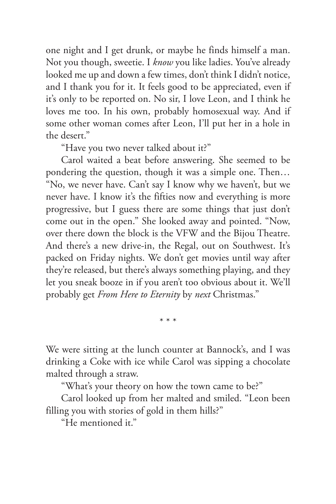one night and I get drunk, or maybe he finds himself a man. Not you though, sweetie. I *know* you like ladies. You've already looked me up and down a few times, don't think I didn't notice, and I thank you for it. It feels good to be appreciated, even if it's only to be reported on. No sir, I love Leon, and I think he loves me too. In his own, probably homosexual way. And if some other woman comes after Leon, I'll put her in a hole in the desert."

"Have you two never talked about it?"

Carol waited a beat before answering. She seemed to be pondering the question, though it was a simple one. Then… "No, we never have. Can't say I know why we haven't, but we never have. I know it's the fifties now and everything is more progressive, but I guess there are some things that just don't come out in the open." She looked away and pointed. "Now, over there down the block is the VFW and the Bijou Theatre. And there's a new drive-in, the Regal, out on Southwest. It's packed on Friday nights. We don't get movies until way after they're released, but there's always something playing, and they let you sneak booze in if you aren't too obvious about it. We'll probably get *From Here to Eternity* by *next* Christmas."

\* \* \*

We were sitting at the lunch counter at Bannock's, and I was drinking a Coke with ice while Carol was sipping a chocolate malted through a straw.

"What's your theory on how the town came to be?"

Carol looked up from her malted and smiled. "Leon been filling you with stories of gold in them hills?"

"He mentioned it."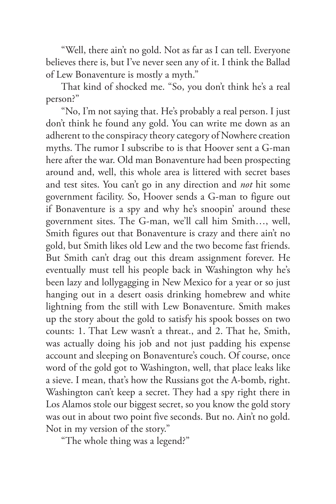"Well, there ain't no gold. Not as far as I can tell. Everyone believes there is, but I've never seen any of it. I think the Ballad of Lew Bonaventure is mostly a myth."

That kind of shocked me. "So, you don't think he's a real person?"

"No, I'm not saying that. He's probably a real person. I just don't think he found any gold. You can write me down as an adherent to the conspiracy theory category of Nowhere creation myths. The rumor I subscribe to is that Hoover sent a G-man here after the war. Old man Bonaventure had been prospecting around and, well, this whole area is littered with secret bases and test sites. You can't go in any direction and *not* hit some government facility. So, Hoover sends a G-man to figure out if Bonaventure is a spy and why he's snoopin' around these government sites. The G-man, we'll call him Smith…, well, Smith figures out that Bonaventure is crazy and there ain't no gold, but Smith likes old Lew and the two become fast friends. But Smith can't drag out this dream assignment forever. He eventually must tell his people back in Washington why he's been lazy and lollygagging in New Mexico for a year or so just hanging out in a desert oasis drinking homebrew and white lightning from the still with Lew Bonaventure. Smith makes up the story about the gold to satisfy his spook bosses on two counts: 1. That Lew wasn't a threat., and 2. That he, Smith, was actually doing his job and not just padding his expense account and sleeping on Bonaventure's couch. Of course, once word of the gold got to Washington, well, that place leaks like a sieve. I mean, that's how the Russians got the A-bomb, right. Washington can't keep a secret. They had a spy right there in Los Alamos stole our biggest secret, so you know the gold story was out in about two point five seconds. But no. Ain't no gold. Not in my version of the story."

"The whole thing was a legend?"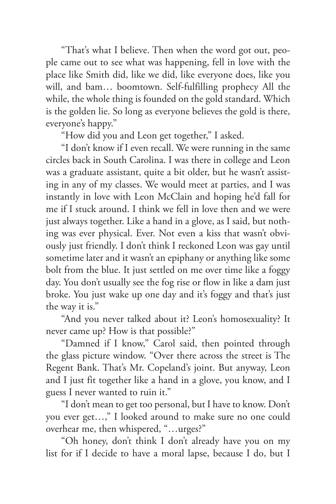"That's what I believe. Then when the word got out, people came out to see what was happening, fell in love with the place like Smith did, like we did, like everyone does, like you will, and bam… boomtown. Self-fulfilling prophecy All the while, the whole thing is founded on the gold standard. Which is the golden lie. So long as everyone believes the gold is there, everyone's happy."

"How did you and Leon get together," I asked.

"I don't know if I even recall. We were running in the same circles back in South Carolina. I was there in college and Leon was a graduate assistant, quite a bit older, but he wasn't assisting in any of my classes. We would meet at parties, and I was instantly in love with Leon McClain and hoping he'd fall for me if I stuck around. I think we fell in love then and we were just always together. Like a hand in a glove, as I said, but nothing was ever physical. Ever. Not even a kiss that wasn't obviously just friendly. I don't think I reckoned Leon was gay until sometime later and it wasn't an epiphany or anything like some bolt from the blue. It just settled on me over time like a foggy day. You don't usually see the fog rise or flow in like a dam just broke. You just wake up one day and it's foggy and that's just the way it is."

"And you never talked about it? Leon's homosexuality? It never came up? How is that possible?"

"Damned if I know," Carol said, then pointed through the glass picture window. "Over there across the street is The Regent Bank. That's Mr. Copeland's joint. But anyway, Leon and I just fit together like a hand in a glove, you know, and I guess I never wanted to ruin it."

"I don't mean to get too personal, but I have to know. Don't you ever get…," I looked around to make sure no one could overhear me, then whispered, "…urges?"

"Oh honey, don't think I don't already have you on my list for if I decide to have a moral lapse, because I do, but I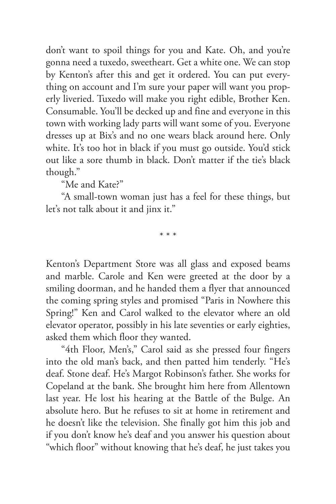don't want to spoil things for you and Kate. Oh, and you're gonna need a tuxedo, sweetheart. Get a white one. We can stop by Kenton's after this and get it ordered. You can put everything on account and I'm sure your paper will want you properly liveried. Tuxedo will make you right edible, Brother Ken. Consumable. You'll be decked up and fine and everyone in this town with working lady parts will want some of you. Everyone dresses up at Bix's and no one wears black around here. Only white. It's too hot in black if you must go outside. You'd stick out like a sore thumb in black. Don't matter if the tie's black though."

"Me and Kate?"

"A small-town woman just has a feel for these things, but let's not talk about it and jinx it."

\* \* \*

Kenton's Department Store was all glass and exposed beams and marble. Carole and Ken were greeted at the door by a smiling doorman, and he handed them a flyer that announced the coming spring styles and promised "Paris in Nowhere this Spring!" Ken and Carol walked to the elevator where an old elevator operator, possibly in his late seventies or early eighties, asked them which floor they wanted.

"4th Floor, Men's," Carol said as she pressed four fingers into the old man's back, and then patted him tenderly. "He's deaf. Stone deaf. He's Margot Robinson's father. She works for Copeland at the bank. She brought him here from Allentown last year. He lost his hearing at the Battle of the Bulge. An absolute hero. But he refuses to sit at home in retirement and he doesn't like the television. She finally got him this job and if you don't know he's deaf and you answer his question about "which floor" without knowing that he's deaf, he just takes you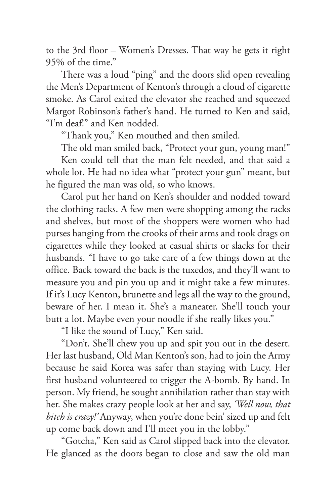to the 3rd floor – Women's Dresses. That way he gets it right 95% of the time."

There was a loud "ping" and the doors slid open revealing the Men's Department of Kenton's through a cloud of cigarette smoke. As Carol exited the elevator she reached and squeezed Margot Robinson's father's hand. He turned to Ken and said, "I'm deaf!" and Ken nodded.

"Thank you," Ken mouthed and then smiled.

The old man smiled back, "Protect your gun, young man!"

Ken could tell that the man felt needed, and that said a whole lot. He had no idea what "protect your gun" meant, but he figured the man was old, so who knows.

Carol put her hand on Ken's shoulder and nodded toward the clothing racks. A few men were shopping among the racks and shelves, but most of the shoppers were women who had purses hanging from the crooks of their arms and took drags on cigarettes while they looked at casual shirts or slacks for their husbands. "I have to go take care of a few things down at the office. Back toward the back is the tuxedos, and they'll want to measure you and pin you up and it might take a few minutes. If it's Lucy Kenton, brunette and legs all the way to the ground, beware of her. I mean it. She's a maneater. She'll touch your butt a lot. Maybe even your noodle if she really likes you."

"I like the sound of Lucy," Ken said.

"Don't. She'll chew you up and spit you out in the desert. Her last husband, Old Man Kenton's son, had to join the Army because he said Korea was safer than staying with Lucy. Her first husband volunteered to trigger the A-bomb. By hand. In person. My friend, he sought annihilation rather than stay with her. She makes crazy people look at her and say, *'Well now, that bitch is crazy!'* Anyway, when you're done bein' sized up and felt up come back down and I'll meet you in the lobby."

"Gotcha," Ken said as Carol slipped back into the elevator. He glanced as the doors began to close and saw the old man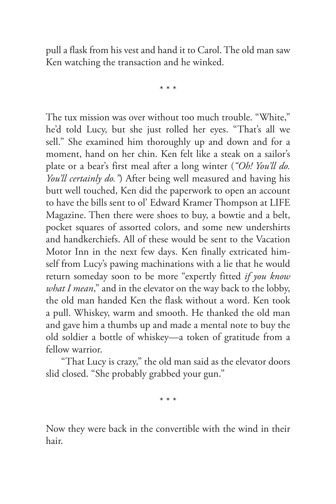pull a flask from his vest and hand it to Carol. The old man saw Ken watching the transaction and he winked.

\* \* \*

The tux mission was over without too much trouble. "White," he'd told Lucy, but she just rolled her eyes. "That's all we sell." She examined him thoroughly up and down and for a moment, hand on her chin. Ken felt like a steak on a sailor's plate or a bear's first meal after a long winter (*"Oh! You'll do. You'll certainly do."*) After being well measured and having his butt well touched, Ken did the paperwork to open an account to have the bills sent to ol' Edward Kramer Thompson at LIFE Magazine. Then there were shoes to buy, a bowtie and a belt, pocket squares of assorted colors, and some new undershirts and handkerchiefs. All of these would be sent to the Vacation Motor Inn in the next few days. Ken finally extricated himself from Lucy's pawing machinations with a lie that he would return someday soon to be more "expertly fitted *if you know what I mean*," and in the elevator on the way back to the lobby, the old man handed Ken the flask without a word. Ken took a pull. Whiskey, warm and smooth. He thanked the old man and gave him a thumbs up and made a mental note to buy the old soldier a bottle of whiskey—a token of gratitude from a fellow warrior.

"That Lucy is crazy," the old man said as the elevator doors slid closed. "She probably grabbed your gun."

\* \* \*

Now they were back in the convertible with the wind in their hair.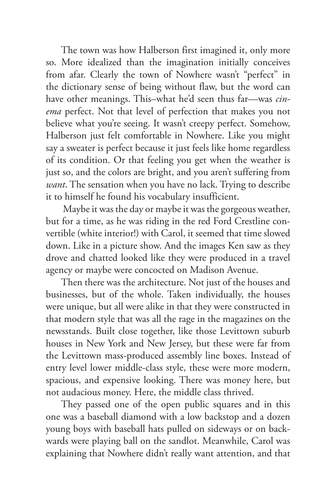The town was how Halberson first imagined it, only more so. More idealized than the imagination initially conceives from afar. Clearly the town of Nowhere wasn't "perfect" in the dictionary sense of being without flaw, but the word can have other meanings. This–what he'd seen thus far—was *cinema* perfect. Not that level of perfection that makes you not believe what you're seeing. It wasn't creepy perfect. Somehow, Halberson just felt comfortable in Nowhere. Like you might say a sweater is perfect because it just feels like home regardless of its condition. Or that feeling you get when the weather is just so, and the colors are bright, and you aren't suffering from *want*. The sensation when you have no lack. Trying to describe it to himself he found his vocabulary insufficient.

 Maybe it was the day or maybe it was the gorgeous weather, but for a time, as he was riding in the red Ford Crestline convertible (white interior!) with Carol, it seemed that time slowed down. Like in a picture show. And the images Ken saw as they drove and chatted looked like they were produced in a travel agency or maybe were concocted on Madison Avenue.

Then there was the architecture. Not just of the houses and businesses, but of the whole. Taken individually, the houses were unique, but all were alike in that they were constructed in that modern style that was all the rage in the magazines on the newsstands. Built close together, like those Levittown suburb houses in New York and New Jersey, but these were far from the Levittown mass-produced assembly line boxes. Instead of entry level lower middle-class style, these were more modern, spacious, and expensive looking. There was money here, but not audacious money. Here, the middle class thrived.

They passed one of the open public squares and in this one was a baseball diamond with a low backstop and a dozen young boys with baseball hats pulled on sideways or on backwards were playing ball on the sandlot. Meanwhile, Carol was explaining that Nowhere didn't really want attention, and that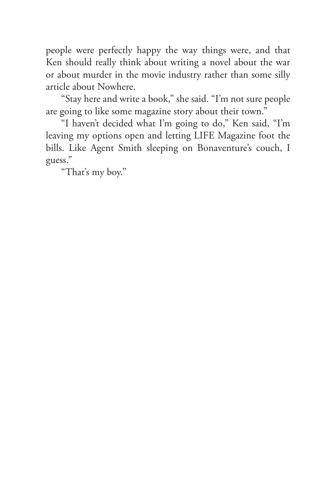people were perfectly happy the way things were, and that Ken should really think about writing a novel about the war or about murder in the movie industry rather than some silly article about Nowhere.

"Stay here and write a book," she said. "I'm not sure people are going to like some magazine story about their town."

"I haven't decided what I'm going to do," Ken said, "I'm leaving my options open and letting LIFE Magazine foot the bills. Like Agent Smith sleeping on Bonaventure's couch, I guess."

"That's my boy."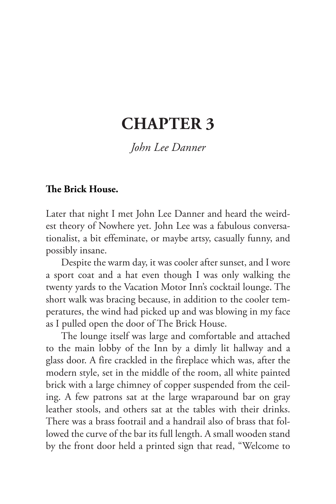## **CHAPTER 3**

*John Lee Danner*

#### **The Brick House.**

Later that night I met John Lee Danner and heard the weirdest theory of Nowhere yet. John Lee was a fabulous conversationalist, a bit effeminate, or maybe artsy, casually funny, and possibly insane.

Despite the warm day, it was cooler after sunset, and I wore a sport coat and a hat even though I was only walking the twenty yards to the Vacation Motor Inn's cocktail lounge. The short walk was bracing because, in addition to the cooler temperatures, the wind had picked up and was blowing in my face as I pulled open the door of The Brick House.

The lounge itself was large and comfortable and attached to the main lobby of the Inn by a dimly lit hallway and a glass door. A fire crackled in the fireplace which was, after the modern style, set in the middle of the room, all white painted brick with a large chimney of copper suspended from the ceiling. A few patrons sat at the large wraparound bar on gray leather stools, and others sat at the tables with their drinks. There was a brass footrail and a handrail also of brass that followed the curve of the bar its full length. A small wooden stand by the front door held a printed sign that read, "Welcome to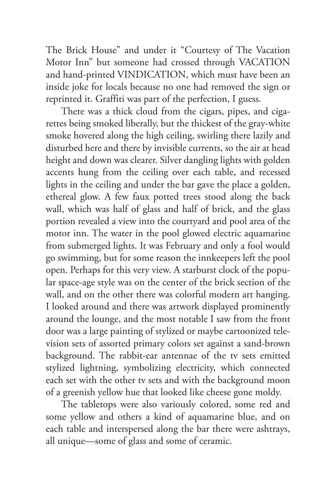The Brick House" and under it "Courtesy of The Vacation Motor Inn" but someone had crossed through VACATION and hand-printed VINDICATION, which must have been an inside joke for locals because no one had removed the sign or reprinted it. Graffiti was part of the perfection, I guess.

There was a thick cloud from the cigars, pipes, and cigarettes being smoked liberally, but the thickest of the gray-white smoke hovered along the high ceiling, swirling there lazily and disturbed here and there by invisible currents, so the air at head height and down was clearer. Silver dangling lights with golden accents hung from the ceiling over each table, and recessed lights in the ceiling and under the bar gave the place a golden, ethereal glow. A few faux potted trees stood along the back wall, which was half of glass and half of brick, and the glass portion revealed a view into the courtyard and pool area of the motor inn. The water in the pool glowed electric aquamarine from submerged lights. It was February and only a fool would go swimming, but for some reason the innkeepers left the pool open. Perhaps for this very view. A starburst clock of the popular space-age style was on the center of the brick section of the wall, and on the other there was colorful modern art hanging. I looked around and there was artwork displayed prominently around the lounge, and the most notable I saw from the front door was a large painting of stylized or maybe cartoonized television sets of assorted primary colors set against a sand-brown background. The rabbit-ear antennae of the tv sets emitted stylized lightning, symbolizing electricity, which connected each set with the other tv sets and with the background moon of a greenish yellow hue that looked like cheese gone moldy.

The tabletops were also variously colored, some red and some yellow and others a kind of aquamarine blue, and on each table and interspersed along the bar there were ashtrays, all unique—some of glass and some of ceramic.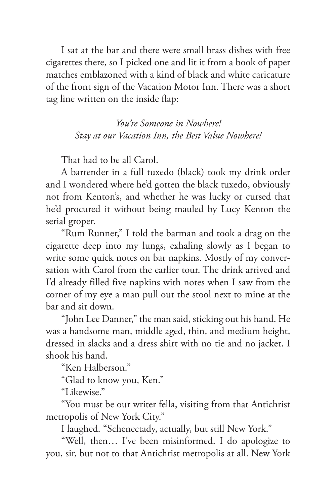I sat at the bar and there were small brass dishes with free cigarettes there, so I picked one and lit it from a book of paper matches emblazoned with a kind of black and white caricature of the front sign of the Vacation Motor Inn. There was a short tag line written on the inside flap:

> *You're Someone in Nowhere! Stay at our Vacation Inn, the Best Value Nowhere!*

That had to be all Carol.

A bartender in a full tuxedo (black) took my drink order and I wondered where he'd gotten the black tuxedo, obviously not from Kenton's, and whether he was lucky or cursed that he'd procured it without being mauled by Lucy Kenton the serial groper.

"Rum Runner," I told the barman and took a drag on the cigarette deep into my lungs, exhaling slowly as I began to write some quick notes on bar napkins. Mostly of my conversation with Carol from the earlier tour. The drink arrived and I'd already filled five napkins with notes when I saw from the corner of my eye a man pull out the stool next to mine at the bar and sit down.

"John Lee Danner," the man said, sticking out his hand. He was a handsome man, middle aged, thin, and medium height, dressed in slacks and a dress shirt with no tie and no jacket. I shook his hand.

"Ken Halberson."

"Glad to know you, Ken."

"Likewise."

"You must be our writer fella, visiting from that Antichrist metropolis of New York City."

I laughed. "Schenectady, actually, but still New York."

"Well, then… I've been misinformed. I do apologize to you, sir, but not to that Antichrist metropolis at all. New York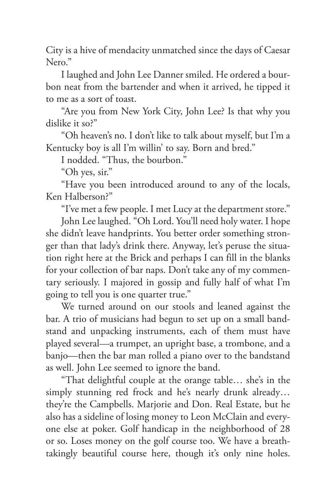City is a hive of mendacity unmatched since the days of Caesar Nero."

I laughed and John Lee Danner smiled. He ordered a bourbon neat from the bartender and when it arrived, he tipped it to me as a sort of toast.

"Are you from New York City, John Lee? Is that why you dislike it so?"

"Oh heaven's no. I don't like to talk about myself, but I'm a Kentucky boy is all I'm willin' to say. Born and bred."

I nodded. "Thus, the bourbon."

"Oh yes, sir."

"Have you been introduced around to any of the locals, Ken Halberson?"

"I've met a few people. I met Lucy at the department store."

John Lee laughed. "Oh Lord. You'll need holy water. I hope she didn't leave handprints. You better order something stronger than that lady's drink there. Anyway, let's peruse the situation right here at the Brick and perhaps I can fill in the blanks for your collection of bar naps. Don't take any of my commentary seriously. I majored in gossip and fully half of what I'm going to tell you is one quarter true."

We turned around on our stools and leaned against the bar. A trio of musicians had begun to set up on a small bandstand and unpacking instruments, each of them must have played several—a trumpet, an upright base, a trombone, and a banjo—then the bar man rolled a piano over to the bandstand as well. John Lee seemed to ignore the band.

"That delightful couple at the orange table… she's in the simply stunning red frock and he's nearly drunk already… they're the Campbells. Marjorie and Don. Real Estate, but he also has a sideline of losing money to Leon McClain and everyone else at poker. Golf handicap in the neighborhood of 28 or so. Loses money on the golf course too. We have a breathtakingly beautiful course here, though it's only nine holes.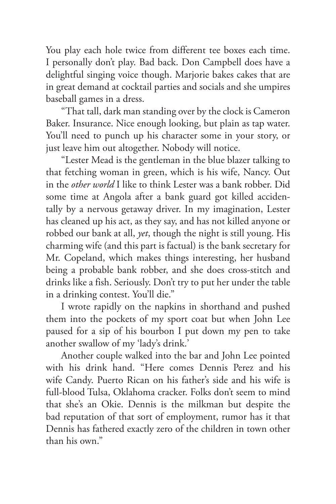You play each hole twice from different tee boxes each time. I personally don't play. Bad back. Don Campbell does have a delightful singing voice though. Marjorie bakes cakes that are in great demand at cocktail parties and socials and she umpires baseball games in a dress.

"That tall, dark man standing over by the clock is Cameron Baker. Insurance. Nice enough looking, but plain as tap water. You'll need to punch up his character some in your story, or just leave him out altogether. Nobody will notice.

"Lester Mead is the gentleman in the blue blazer talking to that fetching woman in green, which is his wife, Nancy. Out in the *other world* I like to think Lester was a bank robber. Did some time at Angola after a bank guard got killed accidentally by a nervous getaway driver. In my imagination, Lester has cleaned up his act, as they say, and has not killed anyone or robbed our bank at all, *yet*, though the night is still young. His charming wife (and this part is factual) is the bank secretary for Mr. Copeland, which makes things interesting, her husband being a probable bank robber, and she does cross-stitch and drinks like a fish. Seriously. Don't try to put her under the table in a drinking contest. You'll die."

I wrote rapidly on the napkins in shorthand and pushed them into the pockets of my sport coat but when John Lee paused for a sip of his bourbon I put down my pen to take another swallow of my 'lady's drink.'

Another couple walked into the bar and John Lee pointed with his drink hand. "Here comes Dennis Perez and his wife Candy. Puerto Rican on his father's side and his wife is full-blood Tulsa, Oklahoma cracker. Folks don't seem to mind that she's an Okie. Dennis is the milkman but despite the bad reputation of that sort of employment, rumor has it that Dennis has fathered exactly zero of the children in town other than his own."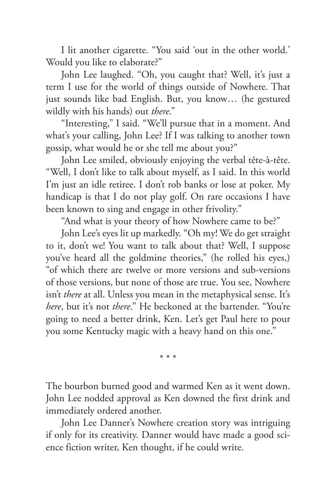I lit another cigarette. "You said 'out in the other world.' Would you like to elaborate?"

John Lee laughed. "Oh, you caught that? Well, it's just a term I use for the world of things outside of Nowhere. That just sounds like bad English. But, you know… (he gestured wildly with his hands) out *there*."

"Interesting," I said. "We'll pursue that in a moment. And what's your calling, John Lee? If I was talking to another town gossip, what would he or she tell me about you?"

John Lee smiled, obviously enjoying the verbal tête-à-tête. "Well, I don't like to talk about myself, as I said. In this world I'm just an idle retiree. I don't rob banks or lose at poker. My handicap is that I do not play golf. On rare occasions I have been known to sing and engage in other frivolity."

"And what is your theory of how Nowhere came to be?"

John Lee's eyes lit up markedly. "Oh my! We do get straight to it, don't we! You want to talk about that? Well, I suppose you've heard all the goldmine theories," (he rolled his eyes,) "of which there are twelve or more versions and sub-versions of those versions, but none of those are true. You see, Nowhere isn't *there* at all. Unless you mean in the metaphysical sense. It's *here*, but it's not *there*." He beckoned at the bartender. "You're going to need a better drink, Ken. Let's get Paul here to pour you some Kentucky magic with a heavy hand on this one."

\* \* \*

The bourbon burned good and warmed Ken as it went down. John Lee nodded approval as Ken downed the first drink and immediately ordered another.

John Lee Danner's Nowhere creation story was intriguing if only for its creativity. Danner would have made a good science fiction writer, Ken thought, if he could write.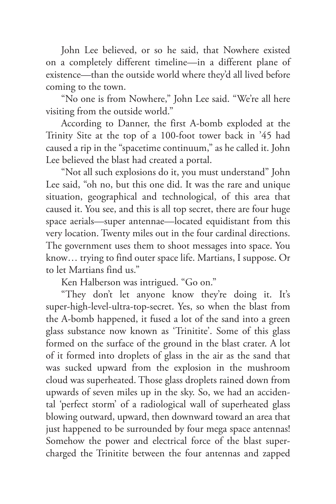John Lee believed, or so he said, that Nowhere existed on a completely different timeline—in a different plane of existence—than the outside world where they'd all lived before coming to the town.

"No one is from Nowhere," John Lee said. "We're all here visiting from the outside world."

According to Danner, the first A-bomb exploded at the Trinity Site at the top of a 100-foot tower back in '45 had caused a rip in the "spacetime continuum," as he called it. John Lee believed the blast had created a portal.

"Not all such explosions do it, you must understand" John Lee said, "oh no, but this one did. It was the rare and unique situation, geographical and technological, of this area that caused it. You see, and this is all top secret, there are four huge space aerials—super antennae—located equidistant from this very location. Twenty miles out in the four cardinal directions. The government uses them to shoot messages into space. You know… trying to find outer space life. Martians, I suppose. Or to let Martians find us."

Ken Halberson was intrigued. "Go on."

"They don't let anyone know they're doing it. It's super-high-level-ultra-top-secret. Yes, so when the blast from the A-bomb happened, it fused a lot of the sand into a green glass substance now known as 'Trinitite'. Some of this glass formed on the surface of the ground in the blast crater. A lot of it formed into droplets of glass in the air as the sand that was sucked upward from the explosion in the mushroom cloud was superheated. Those glass droplets rained down from upwards of seven miles up in the sky. So, we had an accidental 'perfect storm' of a radiological wall of superheated glass blowing outward, upward, then downward toward an area that just happened to be surrounded by four mega space antennas! Somehow the power and electrical force of the blast supercharged the Trinitite between the four antennas and zapped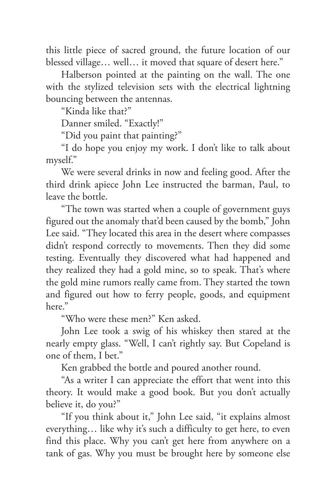this little piece of sacred ground, the future location of our blessed village… well… it moved that square of desert here."

Halberson pointed at the painting on the wall. The one with the stylized television sets with the electrical lightning bouncing between the antennas.

"Kinda like that?"

Danner smiled. "Exactly!"

"Did you paint that painting?"

"I do hope you enjoy my work. I don't like to talk about myself."

We were several drinks in now and feeling good. After the third drink apiece John Lee instructed the barman, Paul, to leave the bottle.

"The town was started when a couple of government guys figured out the anomaly that'd been caused by the bomb," John Lee said. "They located this area in the desert where compasses didn't respond correctly to movements. Then they did some testing. Eventually they discovered what had happened and they realized they had a gold mine, so to speak. That's where the gold mine rumors really came from. They started the town and figured out how to ferry people, goods, and equipment here."

"Who were these men?" Ken asked.

John Lee took a swig of his whiskey then stared at the nearly empty glass. "Well, I can't rightly say. But Copeland is one of them, I bet."

Ken grabbed the bottle and poured another round.

"As a writer I can appreciate the effort that went into this theory. It would make a good book. But you don't actually believe it, do you?"

"If you think about it," John Lee said, "it explains almost everything… like why it's such a difficulty to get here, to even find this place. Why you can't get here from anywhere on a tank of gas. Why you must be brought here by someone else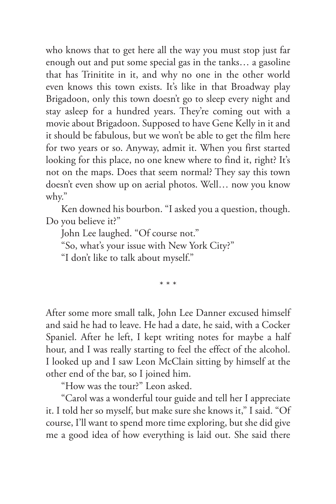who knows that to get here all the way you must stop just far enough out and put some special gas in the tanks… a gasoline that has Trinitite in it, and why no one in the other world even knows this town exists. It's like in that Broadway play Brigadoon, only this town doesn't go to sleep every night and stay asleep for a hundred years. They're coming out with a movie about Brigadoon. Supposed to have Gene Kelly in it and it should be fabulous, but we won't be able to get the film here for two years or so. Anyway, admit it. When you first started looking for this place, no one knew where to find it, right? It's not on the maps. Does that seem normal? They say this town doesn't even show up on aerial photos. Well… now you know why."

Ken downed his bourbon. "I asked you a question, though. Do you believe it?"

John Lee laughed. "Of course not."

"So, what's your issue with New York City?"

"I don't like to talk about myself."

\* \* \*

After some more small talk, John Lee Danner excused himself and said he had to leave. He had a date, he said, with a Cocker Spaniel. After he left, I kept writing notes for maybe a half hour, and I was really starting to feel the effect of the alcohol. I looked up and I saw Leon McClain sitting by himself at the other end of the bar, so I joined him.

"How was the tour?" Leon asked.

"Carol was a wonderful tour guide and tell her I appreciate it. I told her so myself, but make sure she knows it," I said. "Of course, I'll want to spend more time exploring, but she did give me a good idea of how everything is laid out. She said there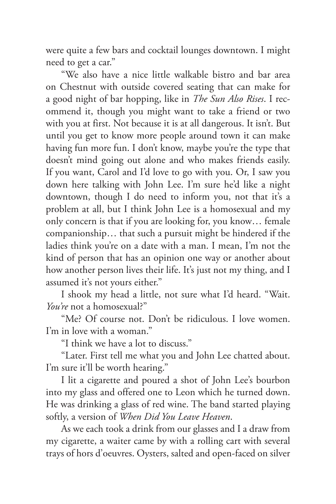were quite a few bars and cocktail lounges downtown. I might need to get a car."

"We also have a nice little walkable bistro and bar area on Chestnut with outside covered seating that can make for a good night of bar hopping, like in *The Sun Also Rises*. I recommend it, though you might want to take a friend or two with you at first. Not because it is at all dangerous. It isn't. But until you get to know more people around town it can make having fun more fun. I don't know, maybe you're the type that doesn't mind going out alone and who makes friends easily. If you want, Carol and I'd love to go with you. Or, I saw you down here talking with John Lee. I'm sure he'd like a night downtown, though I do need to inform you, not that it's a problem at all, but I think John Lee is a homosexual and my only concern is that if you are looking for, you know… female companionship… that such a pursuit might be hindered if the ladies think you're on a date with a man. I mean, I'm not the kind of person that has an opinion one way or another about how another person lives their life. It's just not my thing, and I assumed it's not yours either."

I shook my head a little, not sure what I'd heard. "Wait. *You're* not a homosexual?"

"Me? Of course not. Don't be ridiculous. I love women. I'm in love with a woman."

"I think we have a lot to discuss."

"Later. First tell me what you and John Lee chatted about. I'm sure it'll be worth hearing."

I lit a cigarette and poured a shot of John Lee's bourbon into my glass and offered one to Leon which he turned down. He was drinking a glass of red wine. The band started playing softly, a version of *When Did You Leave Heaven*.

As we each took a drink from our glasses and I a draw from my cigarette, a waiter came by with a rolling cart with several trays of hors d'oeuvres. Oysters, salted and open-faced on silver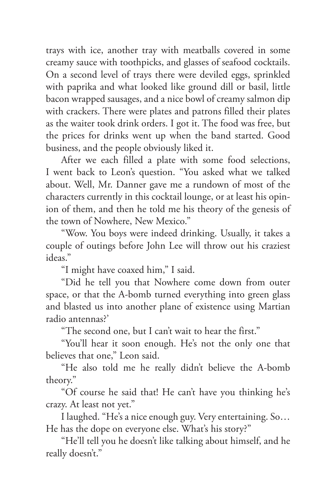trays with ice, another tray with meatballs covered in some creamy sauce with toothpicks, and glasses of seafood cocktails. On a second level of trays there were deviled eggs, sprinkled with paprika and what looked like ground dill or basil, little bacon wrapped sausages, and a nice bowl of creamy salmon dip with crackers. There were plates and patrons filled their plates as the waiter took drink orders. I got it. The food was free, but the prices for drinks went up when the band started. Good business, and the people obviously liked it.

After we each filled a plate with some food selections, I went back to Leon's question. "You asked what we talked about. Well, Mr. Danner gave me a rundown of most of the characters currently in this cocktail lounge, or at least his opinion of them, and then he told me his theory of the genesis of the town of Nowhere, New Mexico."

"Wow. You boys were indeed drinking. Usually, it takes a couple of outings before John Lee will throw out his craziest ideas."

"I might have coaxed him," I said.

"Did he tell you that Nowhere come down from outer space, or that the A-bomb turned everything into green glass and blasted us into another plane of existence using Martian radio antennas?'

"The second one, but I can't wait to hear the first."

"You'll hear it soon enough. He's not the only one that believes that one," Leon said.

"He also told me he really didn't believe the A-bomb theory."

"Of course he said that! He can't have you thinking he's crazy. At least not yet."

I laughed. "He's a nice enough guy. Very entertaining. So… He has the dope on everyone else. What's his story?"

"He'll tell you he doesn't like talking about himself, and he really doesn't."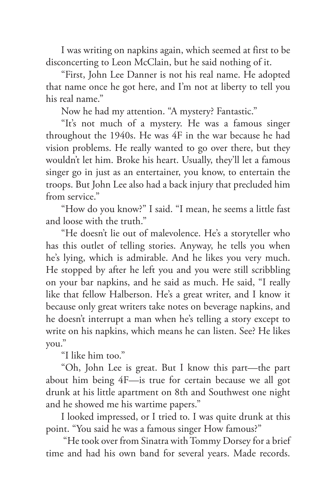I was writing on napkins again, which seemed at first to be disconcerting to Leon McClain, but he said nothing of it.

"First, John Lee Danner is not his real name. He adopted that name once he got here, and I'm not at liberty to tell you his real name."

Now he had my attention. "A mystery? Fantastic."

"It's not much of a mystery. He was a famous singer throughout the 1940s. He was 4F in the war because he had vision problems. He really wanted to go over there, but they wouldn't let him. Broke his heart. Usually, they'll let a famous singer go in just as an entertainer, you know, to entertain the troops. But John Lee also had a back injury that precluded him from service."

"How do you know?" I said. "I mean, he seems a little fast and loose with the truth."

"He doesn't lie out of malevolence. He's a storyteller who has this outlet of telling stories. Anyway, he tells you when he's lying, which is admirable. And he likes you very much. He stopped by after he left you and you were still scribbling on your bar napkins, and he said as much. He said, "I really like that fellow Halberson. He's a great writer, and I know it because only great writers take notes on beverage napkins, and he doesn't interrupt a man when he's telling a story except to write on his napkins, which means he can listen. See? He likes you."

"I like him too."

"Oh, John Lee is great. But I know this part—the part about him being 4F—is true for certain because we all got drunk at his little apartment on 8th and Southwest one night and he showed me his wartime papers."

I looked impressed, or I tried to. I was quite drunk at this point. "You said he was a famous singer How famous?"

 "He took over from Sinatra with Tommy Dorsey for a brief time and had his own band for several years. Made records.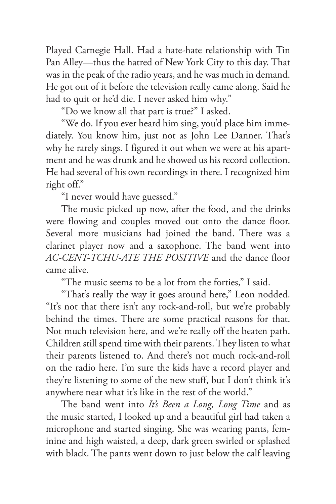Played Carnegie Hall. Had a hate-hate relationship with Tin Pan Alley—thus the hatred of New York City to this day. That was in the peak of the radio years, and he was much in demand. He got out of it before the television really came along. Said he had to quit or he'd die. I never asked him why."

"Do we know all that part is true?" I asked.

"We do. If you ever heard him sing, you'd place him immediately. You know him, just not as John Lee Danner. That's why he rarely sings. I figured it out when we were at his apartment and he was drunk and he showed us his record collection. He had several of his own recordings in there. I recognized him right off."

"I never would have guessed."

The music picked up now, after the food, and the drinks were flowing and couples moved out onto the dance floor. Several more musicians had joined the band. There was a clarinet player now and a saxophone. The band went into *AC-CENT-TCHU-ATE THE POSITIVE* and the dance floor came alive.

"The music seems to be a lot from the forties," I said.

"That's really the way it goes around here," Leon nodded. "It's not that there isn't any rock-and-roll, but we're probably behind the times. There are some practical reasons for that. Not much television here, and we're really off the beaten path. Children still spend time with their parents. They listen to what their parents listened to. And there's not much rock-and-roll on the radio here. I'm sure the kids have a record player and they're listening to some of the new stuff, but I don't think it's anywhere near what it's like in the rest of the world."

The band went into *It's Been a Long, Long Time* and as the music started, I looked up and a beautiful girl had taken a microphone and started singing. She was wearing pants, feminine and high waisted, a deep, dark green swirled or splashed with black. The pants went down to just below the calf leaving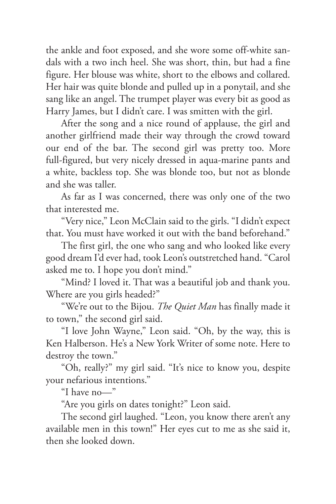the ankle and foot exposed, and she wore some off-white sandals with a two inch heel. She was short, thin, but had a fine figure. Her blouse was white, short to the elbows and collared. Her hair was quite blonde and pulled up in a ponytail, and she sang like an angel. The trumpet player was every bit as good as Harry James, but I didn't care. I was smitten with the girl.

After the song and a nice round of applause, the girl and another girlfriend made their way through the crowd toward our end of the bar. The second girl was pretty too. More full-figured, but very nicely dressed in aqua-marine pants and a white, backless top. She was blonde too, but not as blonde and she was taller.

As far as I was concerned, there was only one of the two that interested me.

"Very nice," Leon McClain said to the girls. "I didn't expect that. You must have worked it out with the band beforehand."

The first girl, the one who sang and who looked like every good dream I'd ever had, took Leon's outstretched hand. "Carol asked me to. I hope you don't mind."

"Mind? I loved it. That was a beautiful job and thank you. Where are you girls headed?"

"We're out to the Bijou. *The Quiet Man* has finally made it to town," the second girl said.

"I love John Wayne," Leon said. "Oh, by the way, this is Ken Halberson. He's a New York Writer of some note. Here to destroy the town."

"Oh, really?" my girl said. "It's nice to know you, despite your nefarious intentions."

"I have no—"

"Are you girls on dates tonight?" Leon said.

The second girl laughed. "Leon, you know there aren't any available men in this town!" Her eyes cut to me as she said it, then she looked down.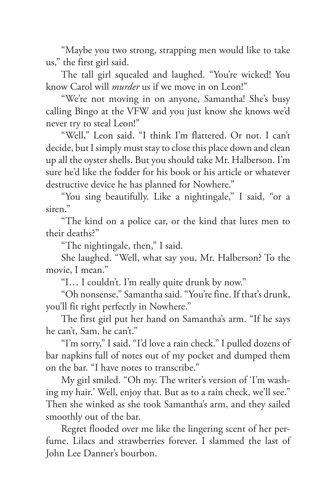"Maybe you two strong, strapping men would like to take us," the first girl said.

The tall girl squealed and laughed. "You're wicked! You know Carol will *murder* us if we move in on Leon!"

"We're not moving in on anyone, Samantha! She's busy calling Bingo at the VFW and you just know she knows we'd never try to steal Leon!"

"Well," Leon said. "I think I'm flattered. Or not. I can't decide, but I simply must stay to close this place down and clean up all the oyster shells. But you should take Mr. Halberson. I'm sure he'd like the fodder for his book or his article or whatever destructive device he has planned for Nowhere."

"You sing beautifully. Like a nightingale," I said, "or a siren."

"The kind on a police car, or the kind that lures men to their deaths?"

"The nightingale, then," I said.

She laughed. "Well, what say you, Mr. Halberson? To the movie, I mean."

"I… I couldn't. I'm really quite drunk by now."

"Oh nonsense," Samantha said. "You're fine. If that's drunk, you'll fit right perfectly in Nowhere."

The first girl put her hand on Samantha's arm. "If he says he can't, Sam, he can't."

"I'm sorry," I said. "I'd love a rain check." I pulled dozens of bar napkins full of notes out of my pocket and dumped them on the bar. "I have notes to transcribe."

My girl smiled. "Oh my. The writer's version of 'I'm washing my hair.' Well, enjoy that. But as to a rain check, we'll see." Then she winked as she took Samantha's arm, and they sailed smoothly out of the bar.

Regret flooded over me like the lingering scent of her perfume. Lilacs and strawberries forever. I slammed the last of John Lee Danner's bourbon.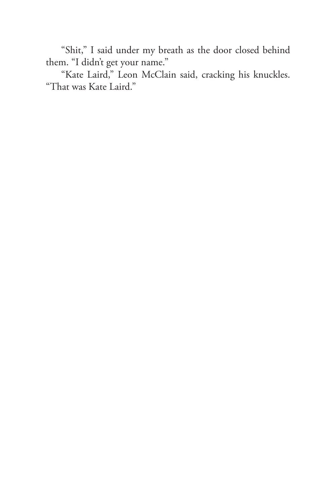"Shit," I said under my breath as the door closed behind them. "I didn't get your name."

"Kate Laird," Leon McClain said, cracking his knuckles. "That was Kate Laird."